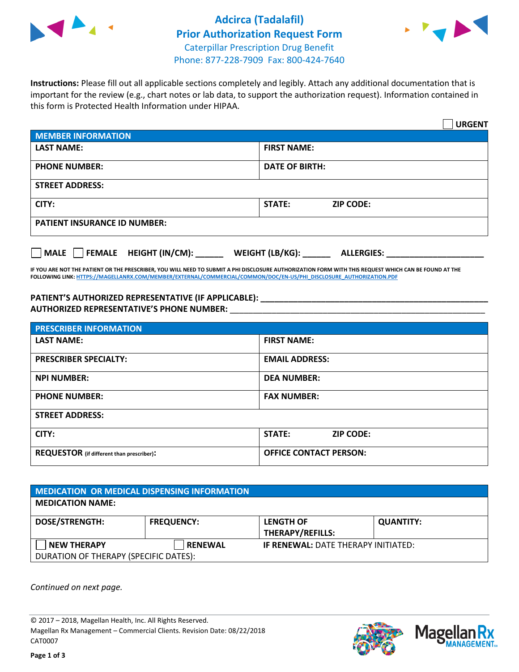

## **Adcirca (Tadalafil) Prior Authorization Request Form** Caterpillar Prescription Drug Benefit



Phone: 877-228-7909 Fax: 800-424-7640

**Instructions:** Please fill out all applicable sections completely and legibly. Attach any additional documentation that is important for the review (e.g., chart notes or lab data, to support the authorization request). Information contained in this form is Protected Health Information under HIPAA.

|                                           | <b>URGENT</b>                        |  |  |  |
|-------------------------------------------|--------------------------------------|--|--|--|
| <b>MEMBER INFORMATION</b>                 |                                      |  |  |  |
| <b>LAST NAME:</b>                         | <b>FIRST NAME:</b>                   |  |  |  |
| <b>PHONE NUMBER:</b>                      | <b>DATE OF BIRTH:</b>                |  |  |  |
| <b>STREET ADDRESS:</b>                    |                                      |  |  |  |
| CITY:                                     | <b>STATE:</b><br><b>ZIP CODE:</b>    |  |  |  |
| <b>PATIENT INSURANCE ID NUMBER:</b>       |                                      |  |  |  |
| $\Box$ FEMALE HEIGHT (IN/CM): _<br>  MALE | WEIGHT (LB/KG):<br><b>ALLERGIES:</b> |  |  |  |

**IF YOU ARE NOT THE PATIENT OR THE PRESCRIBER, YOU WILL NEED TO SUBMIT A PHI DISCLOSURE AUTHORIZATION FORM WITH THIS REQUEST WHICH CAN BE FOUND AT THE FOLLOWING LINK[: HTTPS://MAGELLANRX.COM/MEMBER/EXTERNAL/COMMERCIAL/COMMON/DOC/EN-US/PHI\\_DISCLOSURE\\_AUTHORIZATION.PDF](https://magellanrx.com/member/external/commercial/common/doc/en-us/PHI_Disclosure_Authorization.pdf)**

**PATIENT'S AUTHORIZED REPRESENTATIVE (IF APPLICABLE): \_\_\_\_\_\_\_\_\_\_\_\_\_\_\_\_\_\_\_\_\_\_\_\_\_\_\_\_\_\_\_\_\_\_\_\_\_\_\_\_\_\_\_\_\_\_\_\_\_ AUTHORIZED REPRESENTATIVE'S PHONE NUMBER:** \_\_\_\_\_\_\_\_\_\_\_\_\_\_\_\_\_\_\_\_\_\_\_\_\_\_\_\_\_\_\_\_\_\_\_\_\_\_\_\_\_\_\_\_\_\_\_\_\_\_\_\_\_\_\_

| <b>PRESCRIBER INFORMATION</b>             |                               |  |  |  |
|-------------------------------------------|-------------------------------|--|--|--|
| <b>LAST NAME:</b>                         | <b>FIRST NAME:</b>            |  |  |  |
| <b>PRESCRIBER SPECIALTY:</b>              | <b>EMAIL ADDRESS:</b>         |  |  |  |
| <b>NPI NUMBER:</b>                        | <b>DEA NUMBER:</b>            |  |  |  |
| <b>PHONE NUMBER:</b>                      | <b>FAX NUMBER:</b>            |  |  |  |
| <b>STREET ADDRESS:</b>                    |                               |  |  |  |
| CITY:                                     | STATE:<br><b>ZIP CODE:</b>    |  |  |  |
| REQUESTOR (if different than prescriber): | <b>OFFICE CONTACT PERSON:</b> |  |  |  |

| <b>MEDICATION OR MEDICAL DISPENSING INFORMATION</b> |                   |                                            |                  |  |  |
|-----------------------------------------------------|-------------------|--------------------------------------------|------------------|--|--|
| <b>MEDICATION NAME:</b>                             |                   |                                            |                  |  |  |
| <b>DOSE/STRENGTH:</b>                               | <b>FREQUENCY:</b> | <b>LENGTH OF</b>                           | <b>QUANTITY:</b> |  |  |
|                                                     |                   | <b>THERAPY/REFILLS:</b>                    |                  |  |  |
| <b>NEW THERAPY</b>                                  | <b>RENEWAL</b>    | <b>IF RENEWAL: DATE THERAPY INITIATED:</b> |                  |  |  |
| DURATION OF THERAPY (SPECIFIC DATES):               |                   |                                            |                  |  |  |

*Continued on next page.*

© 2017 – 2018, Magellan Health, Inc. All Rights Reserved. Magellan Rx Management – Commercial Clients. Revision Date: 08/22/2018 CAT0007



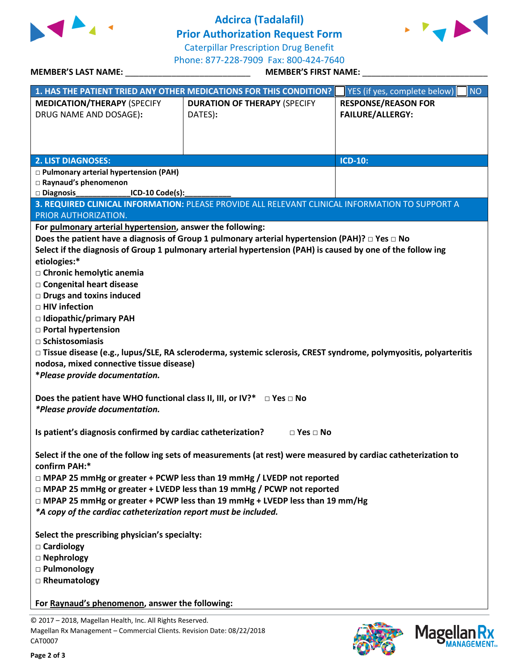

## **Adcirca (Tadalafil)**

**Prior Authorization Request Form**



Caterpillar Prescription Drug Benefit

**MEMBER'S LAST NAME:** \_\_\_\_\_\_\_\_\_\_\_\_\_\_\_\_\_\_\_\_\_\_\_\_\_\_\_ **MEMBER'S FIRST NAME:** \_\_\_\_\_\_\_\_\_\_\_\_\_\_\_\_\_\_\_\_\_\_\_\_\_\_\_

Phone: 877-228-7909 Fax: 800-424-7640

|                                                                                                                                                    | 1. HAS THE PATIENT TRIED ANY OTHER MEDICATIONS FOR THIS CONDITION?                                                 | YES (if yes, complete below)<br><b>NO</b> |  |  |
|----------------------------------------------------------------------------------------------------------------------------------------------------|--------------------------------------------------------------------------------------------------------------------|-------------------------------------------|--|--|
| <b>MEDICATION/THERAPY (SPECIFY</b>                                                                                                                 | <b>DURATION OF THERAPY (SPECIFY</b>                                                                                | <b>RESPONSE/REASON FOR</b>                |  |  |
| DRUG NAME AND DOSAGE):                                                                                                                             | DATES):                                                                                                            | <b>FAILURE/ALLERGY:</b>                   |  |  |
|                                                                                                                                                    |                                                                                                                    |                                           |  |  |
|                                                                                                                                                    |                                                                                                                    |                                           |  |  |
| <b>2. LIST DIAGNOSES:</b>                                                                                                                          |                                                                                                                    | <b>ICD-10:</b>                            |  |  |
| □ Pulmonary arterial hypertension (PAH)                                                                                                            |                                                                                                                    |                                           |  |  |
| □ Raynaud's phenomenon                                                                                                                             |                                                                                                                    |                                           |  |  |
| ICD-10 Code(s):<br>□ Diagnosis                                                                                                                     |                                                                                                                    |                                           |  |  |
|                                                                                                                                                    | 3. REQUIRED CLINICAL INFORMATION: PLEASE PROVIDE ALL RELEVANT CLINICAL INFORMATION TO SUPPORT A                    |                                           |  |  |
| PRIOR AUTHORIZATION.                                                                                                                               |                                                                                                                    |                                           |  |  |
| For pulmonary arterial hypertension, answer the following:                                                                                         |                                                                                                                    |                                           |  |  |
|                                                                                                                                                    | Does the patient have a diagnosis of Group 1 pulmonary arterial hypertension (PAH)? $\Box$ Yes $\Box$ No           |                                           |  |  |
|                                                                                                                                                    | Select if the diagnosis of Group 1 pulmonary arterial hypertension (PAH) is caused by one of the follow ing        |                                           |  |  |
| etiologies:*                                                                                                                                       |                                                                                                                    |                                           |  |  |
| □ Chronic hemolytic anemia                                                                                                                         |                                                                                                                    |                                           |  |  |
| □ Congenital heart disease                                                                                                                         |                                                                                                                    |                                           |  |  |
| $\Box$ Drugs and toxins induced                                                                                                                    |                                                                                                                    |                                           |  |  |
| □ HIV infection                                                                                                                                    |                                                                                                                    |                                           |  |  |
| □ Idiopathic/primary PAH                                                                                                                           |                                                                                                                    |                                           |  |  |
| $\Box$ Portal hypertension                                                                                                                         |                                                                                                                    |                                           |  |  |
| $\Box$ Schistosomiasis                                                                                                                             |                                                                                                                    |                                           |  |  |
|                                                                                                                                                    | □ Tissue disease (e.g., lupus/SLE, RA scleroderma, systemic sclerosis, CREST syndrome, polymyositis, polyarteritis |                                           |  |  |
| nodosa, mixed connective tissue disease)                                                                                                           |                                                                                                                    |                                           |  |  |
| *Please provide documentation.                                                                                                                     |                                                                                                                    |                                           |  |  |
|                                                                                                                                                    |                                                                                                                    |                                           |  |  |
| Does the patient have WHO functional class II, III, or IV?* $\Box$ Yes $\Box$ No                                                                   |                                                                                                                    |                                           |  |  |
| *Please provide documentation.                                                                                                                     |                                                                                                                    |                                           |  |  |
|                                                                                                                                                    |                                                                                                                    |                                           |  |  |
| Is patient's diagnosis confirmed by cardiac catheterization?                                                                                       | $\Box$ Yes $\Box$ No                                                                                               |                                           |  |  |
|                                                                                                                                                    |                                                                                                                    |                                           |  |  |
| Select if the one of the follow ing sets of measurements (at rest) were measured by cardiac catheterization to<br>confirm PAH:*                    |                                                                                                                    |                                           |  |  |
|                                                                                                                                                    |                                                                                                                    |                                           |  |  |
| □ MPAP 25 mmHg or greater + PCWP less than 19 mmHg / LVEDP not reported<br>□ MPAP 25 mmHg or greater + LVEDP less than 19 mmHg / PCWP not reported |                                                                                                                    |                                           |  |  |
| $\Box$ MPAP 25 mmHg or greater + PCWP less than 19 mmHg + LVEDP less than 19 mm/Hg                                                                 |                                                                                                                    |                                           |  |  |
| *A copy of the cardiac catheterization report must be included.                                                                                    |                                                                                                                    |                                           |  |  |
|                                                                                                                                                    |                                                                                                                    |                                           |  |  |
| Select the prescribing physician's specialty:                                                                                                      |                                                                                                                    |                                           |  |  |
| □ Cardiology                                                                                                                                       |                                                                                                                    |                                           |  |  |
| □ Nephrology                                                                                                                                       |                                                                                                                    |                                           |  |  |
| □ Pulmonology                                                                                                                                      |                                                                                                                    |                                           |  |  |
| □ Rheumatology                                                                                                                                     |                                                                                                                    |                                           |  |  |
|                                                                                                                                                    |                                                                                                                    |                                           |  |  |
| For Raynaud's phenomenon, answer the following:                                                                                                    |                                                                                                                    |                                           |  |  |
|                                                                                                                                                    |                                                                                                                    |                                           |  |  |

© 2017 – 2018, Magellan Health, Inc. All Rights Reserved. Magellan Rx Management – Commercial Clients. Revision Date: 08/22/2018 CAT0007